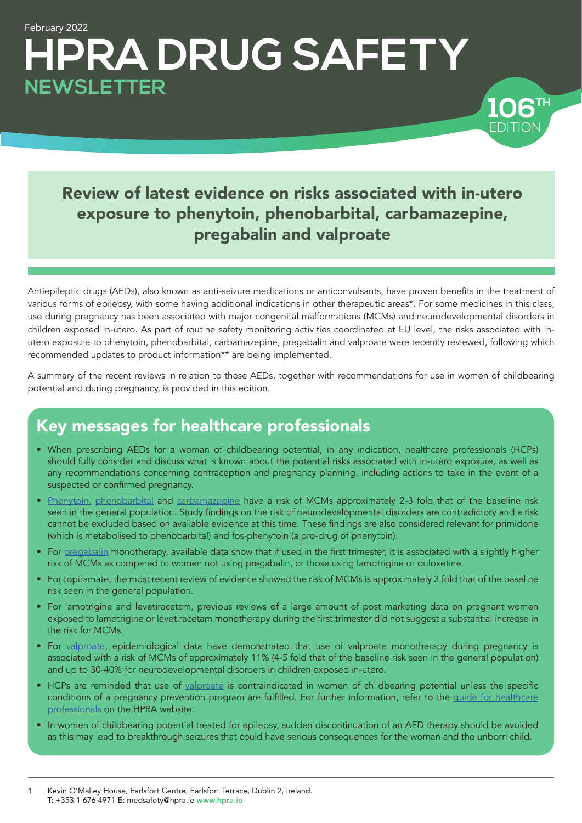# February 2022 **HPRA DRUG SAFETY NEWSLETTER**

## Review of latest evidence on risks associated with in-utero exposure to phenytoin, phenobarbital, carbamazepine, pregabalin and valproate

EDITION

EDITION **106<sup>TH</sup>** 

Antiepileptic drugs (AEDs), also known as anti-seizure medications or anticonvulsants, have proven benefits in the treatment of various forms of epilepsy, with some having additional indications in other therapeutic areas\*. For some medicines in this class, use during pregnancy has been associated with major congenital malformations (MCMs) and neurodevelopmental disorders in children exposed in-utero. As part of routine safety monitoring activities coordinated at EU level, the risks associated with inutero exposure to phenytoin, phenobarbital, carbamazepine, pregabalin and valproate were recently reviewed, following which recommended updates to product information\*\* are being implemented.

A summary of the recent reviews in relation to these AEDs, together with recommendations for use in women of childbearing potential and during pregnancy, is provided in this edition.

## Key messages for healthcare professionals

- When prescribing AEDs for a woman of childbearing potential, in any indication, healthcare professionals (HCPs) should fully consider and discuss what is known about the potential risks associated with in-utero exposure, as well as any recommendations concerning contraception and pregnancy planning, including actions to take in the event of a suspected or confirmed pregnancy.
- [Phenytoin](#page-1-0)[,](#page-1-0) [phenobarbital](#page-1-0) and [carbamazepine](#page-1-0) have a risk of MCMs approximately 2-3 fold that of the baseline risk seen in the general population. Study findings on the risk of neurodevelopmental disorders are contradictory and a risk cannot be excluded based on available evidence at this time. These findings are also considered relevant for primidone (which is metabolised to phenobarbital) and fos-phenytoin (a pro-drug of phenytoin).
- For [pregabalin](#page-3-0) monotherapy, available data show that if used in the first trimester, it is associated with a slightly higher risk of MCMs as compared to women not using pregabalin, or those using lamotrigine or duloxetine.
- For topiramate, the most recent review of evidence showed the risk of MCMs is approximately 3 fold that of the baseline risk seen in the general population.
- For lamotrigine and levetiracetam, previous reviews of a large amount of post marketing data on pregnant women exposed to lamotrigine or levetiracetam monotherapy during the first trimester did not suggest a substantial increase in the risk for MCMs.
- For [valproate](#page-3-1), epidemiological data have demonstrated that use of valproate monotherapy during pregnancy is associated with a risk of MCMs of approximately 11% (4-5 fold that of the baseline risk seen in the general population) and up to 30-40% for neurodevelopmental disorders in children exposed in-utero.
- HCPs are reminded that use of [valproate](#page-3-1) is contraindicated in women of childbearing potential unless the specific conditions of a pregnancy prevention program are fulfilled. For further information, refer to the guide for healthcare [professionals](http://www.hpra.ie/docs/default-source/default-document-library/healthcare-professional-guide.pdf?sfvrsn=2) on the HPRA website.
- In women of childbearing potential treated for epilepsy, sudden discontinuation of an AED therapy should be avoided as this may lead to breakthrough seizures that could have serious consequences for the woman and the unborn child.

<sup>1</sup> Kevin O'Malley House, Earlsfort Centre, Earlsfort Terrace, Dublin 2, Ireland. T: +353 1 676 4971 E: medsafety@hpra.ie [www.hpra.ie](http://www.hpra.ie)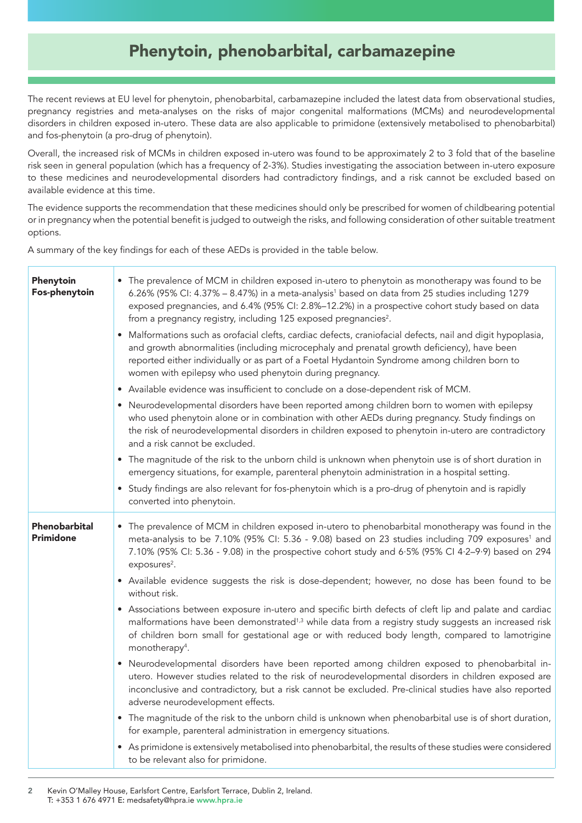### <span id="page-1-0"></span>Phenytoin, phenobarbital, carbamazepine

The recent reviews at EU level for phenytoin, phenobarbital, carbamazepine included the latest data from observational studies, pregnancy registries and meta-analyses on the risks of major congenital malformations (MCMs) and neurodevelopmental disorders in children exposed in-utero. These data are also applicable to primidone (extensively metabolised to phenobarbital) and fos-phenytoin (a pro-drug of phenytoin).

Overall, the increased risk of MCMs in children exposed in-utero was found to be approximately 2 to 3 fold that of the baseline risk seen in general population (which has a frequency of 2-3%). Studies investigating the association between in-utero exposure to these medicines and neurodevelopmental disorders had contradictory findings, and a risk cannot be excluded based on available evidence at this time.

The evidence supports the recommendation that these medicines should only be prescribed for women of childbearing potential or in pregnancy when the potential benefit is judged to outweigh the risks, and following consideration of other suitable treatment options.

A summary of the key findings for each of these AEDs is provided in the table below.

| Phenytoin<br>Fos-phenytoin        | • The prevalence of MCM in children exposed in-utero to phenytoin as monotherapy was found to be<br>6.26% (95% CI: 4.37% - 8.47%) in a meta-analysis <sup>1</sup> based on data from 25 studies including 1279<br>exposed pregnancies, and 6.4% (95% CI: 2.8%-12.2%) in a prospective cohort study based on data<br>from a pregnancy registry, including 125 exposed pregnancies <sup>2</sup> . |
|-----------------------------------|-------------------------------------------------------------------------------------------------------------------------------------------------------------------------------------------------------------------------------------------------------------------------------------------------------------------------------------------------------------------------------------------------|
|                                   | • Malformations such as orofacial clefts, cardiac defects, craniofacial defects, nail and digit hypoplasia,<br>and growth abnormalities (including microcephaly and prenatal growth deficiency), have been<br>reported either individually or as part of a Foetal Hydantoin Syndrome among children born to<br>women with epilepsy who used phenytoin during pregnancy.                         |
|                                   | • Available evidence was insufficient to conclude on a dose-dependent risk of MCM.                                                                                                                                                                                                                                                                                                              |
|                                   | • Neurodevelopmental disorders have been reported among children born to women with epilepsy<br>who used phenytoin alone or in combination with other AEDs during pregnancy. Study findings on<br>the risk of neurodevelopmental disorders in children exposed to phenytoin in-utero are contradictory<br>and a risk cannot be excluded.                                                        |
|                                   | • The magnitude of the risk to the unborn child is unknown when phenytoin use is of short duration in<br>emergency situations, for example, parenteral phenytoin administration in a hospital setting.                                                                                                                                                                                          |
|                                   | • Study findings are also relevant for fos-phenytoin which is a pro-drug of phenytoin and is rapidly<br>converted into phenytoin.                                                                                                                                                                                                                                                               |
| Phenobarbital<br><b>Primidone</b> | • The prevalence of MCM in children exposed in-utero to phenobarbital monotherapy was found in the<br>meta-analysis to be 7.10% (95% CI: 5.36 - 9.08) based on 23 studies including 709 exposures <sup>1</sup> and<br>7.10% (95% CI: 5.36 - 9.08) in the prospective cohort study and 6.5% (95% CI 4.2-9.9) based on 294<br>exposures <sup>2</sup> .                                            |
|                                   | • Available evidence suggests the risk is dose-dependent; however, no dose has been found to be<br>without risk.                                                                                                                                                                                                                                                                                |
|                                   | • Associations between exposure in-utero and specific birth defects of cleft lip and palate and cardiac<br>malformations have been demonstrated <sup>1,3</sup> while data from a registry study suggests an increased risk<br>of children born small for gestational age or with reduced body length, compared to lamotrigine<br>monotherapy <sup>4</sup> .                                     |
|                                   | • Neurodevelopmental disorders have been reported among children exposed to phenobarbital in-<br>utero. However studies related to the risk of neurodevelopmental disorders in children exposed are<br>inconclusive and contradictory, but a risk cannot be excluded. Pre-clinical studies have also reported<br>adverse neurodevelopment effects.                                              |
|                                   | • The magnitude of the risk to the unborn child is unknown when phenobarbital use is of short duration,<br>for example, parenteral administration in emergency situations.                                                                                                                                                                                                                      |
|                                   | • As primidone is extensively metabolised into phenobarbital, the results of these studies were considered<br>to be relevant also for primidone.                                                                                                                                                                                                                                                |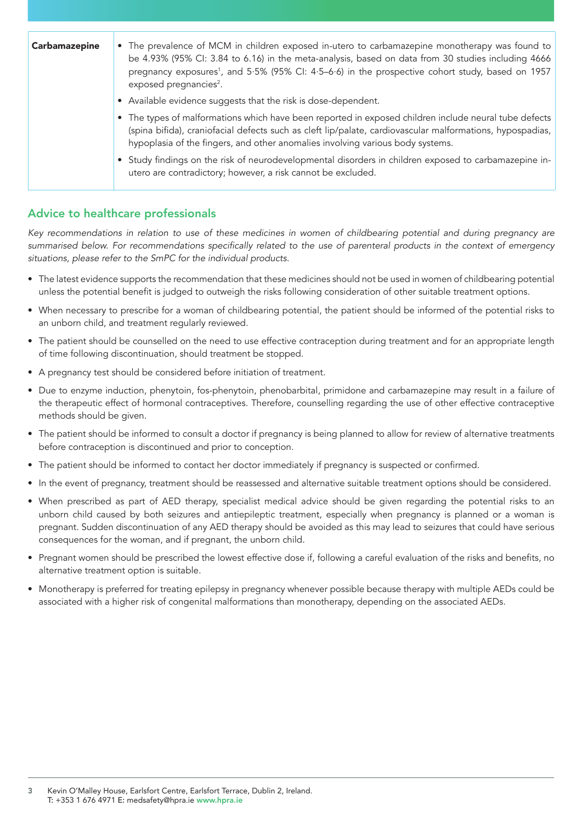| Carbamazepine | • The prevalence of MCM in children exposed in-utero to carbamazepine monotherapy was found to<br>be 4.93% (95% CI: 3.84 to 6.16) in the meta-analysis, based on data from 30 studies including 4666<br>pregnancy exposures <sup>1</sup> , and 5.5% (95% CI: 4.5–6.6) in the prospective cohort study, based on 1957<br>exposed pregnancies <sup>2</sup> . |
|---------------|------------------------------------------------------------------------------------------------------------------------------------------------------------------------------------------------------------------------------------------------------------------------------------------------------------------------------------------------------------|
|               | • Available evidence suggests that the risk is dose-dependent.                                                                                                                                                                                                                                                                                             |
|               | • The types of malformations which have been reported in exposed children include neural tube defects<br>(spina bifida), craniofacial defects such as cleft lip/palate, cardiovascular malformations, hypospadias,<br>hypoplasia of the fingers, and other anomalies involving various body systems.                                                       |
|               | • Study findings on the risk of neurodevelopmental disorders in children exposed to carbamazepine in-<br>utero are contradictory; however, a risk cannot be excluded.                                                                                                                                                                                      |

### Advice to healthcare professionals

*Key recommendations in relation to use of these medicines in women of childbearing potential and during pregnancy are*  summarised below. For recommendations specifically related to the use of parenteral products in the context of emergency *situations, please refer to the SmPC for the individual products.*

- The latest evidence supports the recommendation that these medicines should not be used in women of childbearing potential unless the potential benefit is judged to outweigh the risks following consideration of other suitable treatment options.
- When necessary to prescribe for a woman of childbearing potential, the patient should be informed of the potential risks to an unborn child, and treatment regularly reviewed.
- The patient should be counselled on the need to use effective contraception during treatment and for an appropriate length of time following discontinuation, should treatment be stopped.
- A pregnancy test should be considered before initiation of treatment.
- Due to enzyme induction, phenytoin, fos-phenytoin, phenobarbital, primidone and carbamazepine may result in a failure of the therapeutic effect of hormonal contraceptives. Therefore, counselling regarding the use of other effective contraceptive methods should be given.
- The patient should be informed to consult a doctor if pregnancy is being planned to allow for review of alternative treatments before contraception is discontinued and prior to conception.
- The patient should be informed to contact her doctor immediately if pregnancy is suspected or confirmed.
- In the event of pregnancy, treatment should be reassessed and alternative suitable treatment options should be considered.
- When prescribed as part of AED therapy, specialist medical advice should be given regarding the potential risks to an unborn child caused by both seizures and antiepileptic treatment, especially when pregnancy is planned or a woman is pregnant. Sudden discontinuation of any AED therapy should be avoided as this may lead to seizures that could have serious consequences for the woman, and if pregnant, the unborn child.
- Pregnant women should be prescribed the lowest effective dose if, following a careful evaluation of the risks and benefits, no alternative treatment option is suitable.
- Monotherapy is preferred for treating epilepsy in pregnancy whenever possible because therapy with multiple AEDs could be associated with a higher risk of congenital malformations than monotherapy, depending on the associated AEDs.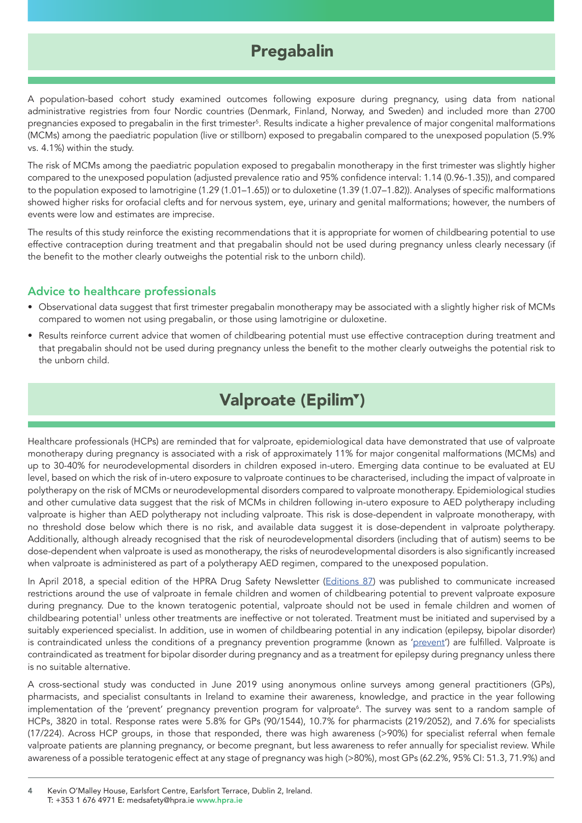## <span id="page-3-0"></span>Pregabalin

A population-based cohort study examined outcomes following exposure during pregnancy, using data from national administrative registries from four Nordic countries (Denmark, Finland, Norway, and Sweden) and included more than 2700 pregnancies exposed to pregabalin in the first trimester<sup>s</sup>. Results indicate a higher prevalence of major congenital malformations (MCMs) among the paediatric population (live or stillborn) exposed to pregabalin compared to the unexposed population (5.9% vs. 4.1%) within the study.

The risk of MCMs among the paediatric population exposed to pregabalin monotherapy in the first trimester was slightly higher compared to the unexposed population (adjusted prevalence ratio and 95% confidence interval: 1.14 (0.96-1.35)), and compared to the population exposed to lamotrigine (1.29 (1.01–1.65)) or to duloxetine (1.39 (1.07–1.82)). Analyses of specific malformations showed higher risks for orofacial clefts and for nervous system, eye, urinary and genital malformations; however, the numbers of events were low and estimates are imprecise.

The results of this study reinforce the existing recommendations that it is appropriate for women of childbearing potential to use effective contraception during treatment and that pregabalin should not be used during pregnancy unless clearly necessary (if the benefit to the mother clearly outweighs the potential risk to the unborn child).

#### Advice to healthcare professionals

- Observational data suggest that first trimester pregabalin monotherapy may be associated with a slightly higher risk of MCMs compared to women not using pregabalin, or those using lamotrigine or duloxetine.
- Results reinforce current advice that women of childbearing potential must use effective contraception during treatment and that pregabalin should not be used during pregnancy unless the benefit to the mother clearly outweighs the potential risk to the unborn child.

## <span id="page-3-1"></span>Valproate (Epilim<sup>T</sup>)

Healthcare professionals (HCPs) are reminded that for valproate, epidemiological data have demonstrated that use of valproate monotherapy during pregnancy is associated with a risk of approximately 11% for major congenital malformations (MCMs) and up to 30-40% for neurodevelopmental disorders in children exposed in-utero. Emerging data continue to be evaluated at EU level, based on which the risk of in-utero exposure to valproate continues to be characterised, including the impact of valproate in polytherapy on the risk of MCMs or neurodevelopmental disorders compared to valproate monotherapy. Epidemiological studies and other cumulative data suggest that the risk of MCMs in children following in-utero exposure to AED polytherapy including valproate is higher than AED polytherapy not including valproate. This risk is dose-dependent in valproate monotherapy, with no threshold dose below which there is no risk, and available data suggest it is dose-dependent in valproate polytherapy. Additionally, although already recognised that the risk of neurodevelopmental disorders (including that of autism) seems to be dose-dependent when valproate is used as monotherapy, the risks of neurodevelopmental disorders is also significantly increased when valproate is administered as part of a polytherapy AED regimen, compared to the unexposed population.

In April 2018, a special edition of the HPRA Drug Safety Newsletter [\(Editions 87](https://www.hpra.ie/docs/default-source/publications-forms/newsletters/hpra-drug-safety-newsletter-edition-87.pdf?Status=Master&sfvrsn=5)) was published to communicate increased restrictions around the use of valproate in female children and women of childbearing potential to prevent valproate exposure during pregnancy. Due to the known teratogenic potential, valproate should not be used in female children and women of childbearing potential<sup>1</sup> unless other treatments are ineffective or not tolerated. Treatment must be initiated and supervised by a suitably experienced specialist. In addition, use in women of childbearing potential in any indication (epilepsy, bipolar disorder) is contraindicated unless the conditions of a pregnancy [prevent](http://www.hpra.ie/homepage/medicines/special-topics/valproate-(epilim))ion programme (known as 'prevent') are fulfilled. Valproate is contraindicated as treatment for bipolar disorder during pregnancy and as a treatment for epilepsy during pregnancy unless there is no suitable alternative.

A cross-sectional study was conducted in June 2019 using anonymous online surveys among general practitioners (GPs), pharmacists, and specialist consultants in Ireland to examine their awareness, knowledge, and practice in the year following implementation of the 'prevent' pregnancy prevention program for valproate<sup>6</sup>. The survey was sent to a random sample of HCPs, 3820 in total. Response rates were 5.8% for GPs (90/1544), 10.7% for pharmacists (219/2052), and 7.6% for specialists (17/224). Across HCP groups, in those that responded, there was high awareness (>90%) for specialist referral when female valproate patients are planning pregnancy, or become pregnant, but less awareness to refer annually for specialist review. While awareness of a possible teratogenic effect at any stage of pregnancy was high (>80%), most GPs (62.2%, 95% CI: 51.3, 71.9%) and

4 Kevin O'Malley House, Earlsfort Centre, Earlsfort Terrace, Dublin 2, Ireland. T: +353 1 676 4971 E: medsafety@hpra.ie www.hpra.ie